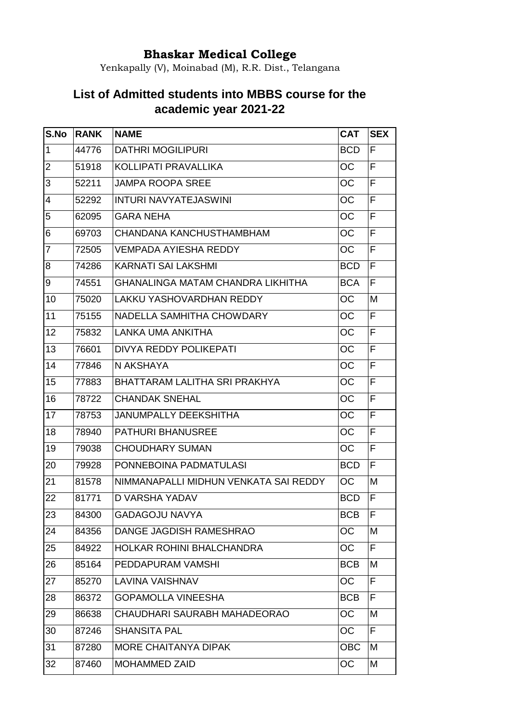## **Bhaskar Medical College**

Yenkapally (V), Moinabad (M), R.R. Dist., Telangana

## **List of Admitted students into MBBS course for the academic year 2021-22**

| S.No           | <b>RANK</b> | <b>NAME</b>                              | <b>CAT</b> | <b>SEX</b> |
|----------------|-------------|------------------------------------------|------------|------------|
| $\vert$ 1      | 44776       | <b>DATHRI MOGILIPURI</b>                 | <b>BCD</b> | F          |
| $\overline{2}$ | 51918       | KOLLIPATI PRAVALLIKA                     | ОC         | F          |
| 3              | 52211       | <b>JAMPA ROOPA SREE</b>                  | ОC         | F          |
| $\overline{4}$ | 52292       | <b>INTURI NAVYATEJASWINI</b>             | OС         | F          |
| 5              | 62095       | <b>GARA NEHA</b>                         | ОC         | F          |
| 6              | 69703       | CHANDANA KANCHUSTHAMBHAM                 | ОC         | F          |
| $\overline{7}$ | 72505       | <b>VEMPADA AYIESHA REDDY</b>             | ОC         | F          |
| 8              | 74286       | <b>KARNATI SAI LAKSHMI</b>               | <b>BCD</b> | F          |
| 9              | 74551       | <b>GHANALINGA MATAM CHANDRA LIKHITHA</b> | <b>BCA</b> | F          |
| 10             | 75020       | <b>LAKKU YASHOVARDHAN REDDY</b>          | ОC         | М          |
| 11             | 75155       | NADELLA SAMHITHA CHOWDARY                | OС         | F          |
| 12             | 75832       | LANKA UMA ANKITHA                        | ОC         | F          |
| 13             | 76601       | <b>DIVYA REDDY POLIKEPATI</b>            | OС         | F          |
| 14             | 77846       | N AKSHAYA                                | ОC         | F          |
| 15             | 77883       | BHATTARAM LALITHA SRI PRAKHYA            | ОC         | F          |
| 16             | 78722       | <b>CHANDAK SNEHAL</b>                    | OС         | F          |
| 17             | 78753       | <b>JANUMPALLY DEEKSHITHA</b>             | ОC         | F          |
| 18             | 78940       | <b>PATHURI BHANUSREE</b>                 | OС         | F          |
| 19             | 79038       | <b>CHOUDHARY SUMAN</b>                   | ОC         | F          |
| 20             | 79928       | PONNEBOINA PADMATULASI                   | <b>BCD</b> | F          |
| 21             | 81578       | NIMMANAPALLI MIDHUN VENKATA SAI REDDY    | ОC         | М          |
| 22             | 81771       | <b>D VARSHA YADAV</b>                    | <b>BCD</b> | F          |
| 23             | 84300       | <b>GADAGOJU NAVYA</b>                    | <b>BCB</b> | lF         |
| 24             | 84356       | DANGE JAGDISH RAMESHRAO                  | ОC         | М          |
| 25             | 84922       | <b>HOLKAR ROHINI BHALCHANDRA</b>         | OС         | F          |
| 26             | 85164       | PEDDAPURAM VAMSHI                        | <b>BCB</b> | M          |
| 27             | 85270       | <b>LAVINA VAISHNAV</b>                   | ОC         | F          |
| 28             | 86372       | <b>GOPAMOLLA VINEESHA</b>                | <b>BCB</b> | F          |
| 29             | 86638       | CHAUDHARI SAURABH MAHADEORAO             | OC         | M          |
| 30             | 87246       | <b>SHANSITA PAL</b>                      | OС         | F          |
| 31             | 87280       | <b>MORE CHAITANYA DIPAK</b>              | <b>OBC</b> | М          |
| 32             | 87460       | <b>MOHAMMED ZAID</b>                     | ОC         | Μ          |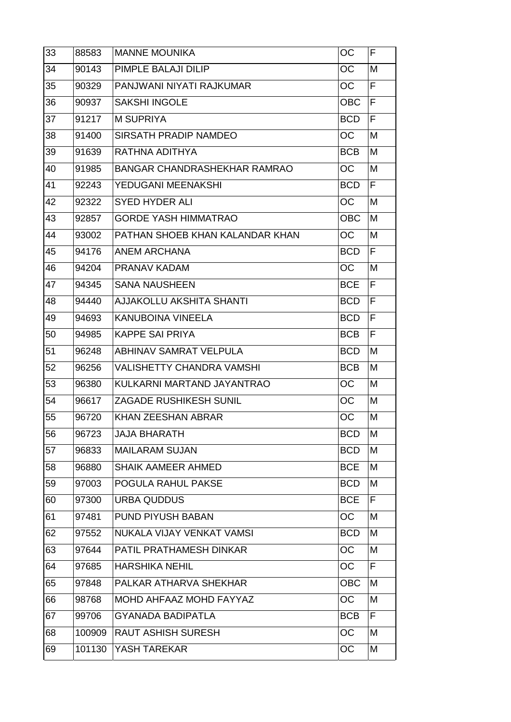| 33 | 88583  | <b>MANNE MOUNIKA</b>                | OС         | F |
|----|--------|-------------------------------------|------------|---|
| 34 | 90143  | PIMPLE BALAJI DILIP                 | OС         | M |
| 35 | 90329  | PANJWANI NIYATI RAJKUMAR            | OС         | F |
| 36 | 90937  | <b>SAKSHI INGOLE</b>                | ОВС        | F |
| 37 | 91217  | <b>M SUPRIYA</b>                    | <b>BCD</b> | F |
| 38 | 91400  | <b>SIRSATH PRADIP NAMDEO</b>        | OС         | M |
| 39 | 91639  | RATHNA ADITHYA                      | <b>BCB</b> | M |
| 40 | 91985  | <b>BANGAR CHANDRASHEKHAR RAMRAO</b> | OС         | M |
| 41 | 92243  | YEDUGANI MEENAKSHI                  | <b>BCD</b> | F |
| 42 | 92322  | <b>SYED HYDER ALI</b>               | ОC         | M |
| 43 | 92857  | <b>GORDE YASH HIMMATRAO</b>         | <b>OBC</b> | M |
| 44 | 93002  | PATHAN SHOEB KHAN KALANDAR KHAN     | OС         | M |
| 45 | 94176  | ANEM ARCHANA                        | <b>BCD</b> | F |
| 46 | 94204  | PRANAV KADAM                        | OС         | M |
| 47 | 94345  | <b>SANA NAUSHEEN</b>                | <b>BCE</b> | F |
| 48 | 94440  | AJJAKOLLU AKSHITA SHANTI            | <b>BCD</b> | F |
| 49 | 94693  | KANUBOINA VINEELA                   | <b>BCD</b> | F |
| 50 | 94985  | <b>KAPPE SAI PRIYA</b>              | <b>BCB</b> | F |
| 51 | 96248  | <b>ABHINAV SAMRAT VELPULA</b>       | <b>BCD</b> | M |
| 52 | 96256  | <b>VALISHETTY CHANDRA VAMSHI</b>    | <b>BCB</b> | M |
| 53 | 96380  | KULKARNI MARTAND JAYANTRAO          | OС         | M |
| 54 | 96617  | ZAGADE RUSHIKESH SUNIL              | OС         | M |
| 55 | 96720  | <b>KHAN ZEESHAN ABRAR</b>           | OС         | M |
| 56 | 96723  | <b>JAJA BHARATH</b>                 | <b>BCD</b> | M |
| 57 | 96833  | <b>MAILARAM SUJAN</b>               | <b>BCD</b> | M |
| 58 | 96880  | <b>SHAIK AAMEER AHMED</b>           | <b>BCE</b> | M |
| 59 | 97003  | POGULA RAHUL PAKSE                  | <b>BCD</b> | M |
| 60 | 97300  | <b>URBA QUDDUS</b>                  | <b>BCE</b> | F |
| 61 | 97481  | <b>PUND PIYUSH BABAN</b>            | ОC         | M |
| 62 | 97552  | NUKALA VIJAY VENKAT VAMSI           | <b>BCD</b> | M |
| 63 | 97644  | PATIL PRATHAMESH DINKAR             | OС         | M |
| 64 | 97685  | <b>HARSHIKA NEHIL</b>               | ОC         | F |
| 65 | 97848  | PALKAR ATHARVA SHEKHAR              | OBC        | M |
| 66 | 98768  | MOHD AHFAAZ MOHD FAYYAZ             | OС         | M |
| 67 | 99706  | <b>GYANADA BADIPATLA</b>            | <b>BCB</b> | F |
| 68 | 100909 | <b>RAUT ASHISH SURESH</b>           | OС         | M |
| 69 | 101130 | YASH TAREKAR                        | ОC         | M |
|    |        |                                     |            |   |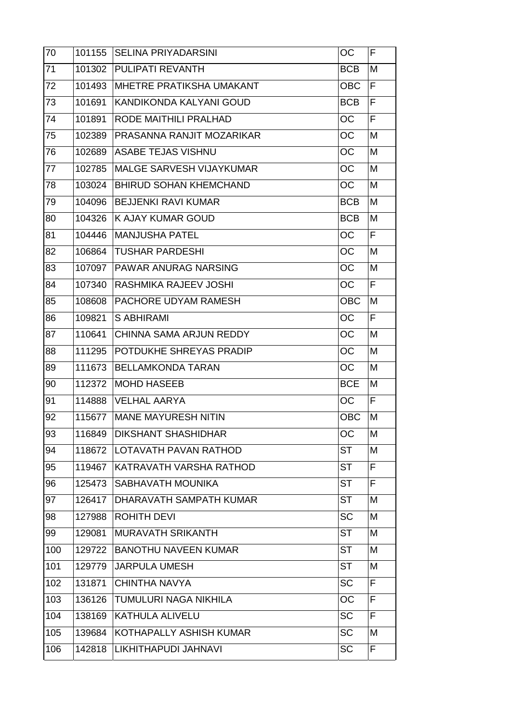| 70  | 101155 | <b>SELINA PRIYADARSINI</b>      | OC         | F |
|-----|--------|---------------------------------|------------|---|
| 71  | 101302 | <b>PULIPATI REVANTH</b>         | <b>BCB</b> | M |
| 72  | 101493 | <b>MHETRE PRATIKSHA UMAKANT</b> | <b>OBC</b> | F |
| 73  | 101691 | KANDIKONDA KALYANI GOUD         | <b>BCB</b> | F |
| 74  | 101891 | RODE MAITHILI PRALHAD           | OС         | F |
| 75  | 102389 | PRASANNA RANJIT MOZARIKAR       | ОC         | M |
| 76  | 102689 | <b>ASABE TEJAS VISHNU</b>       | OC         | M |
| 77  | 102785 | MALGE SARVESH VIJAYKUMAR        | OC         | M |
| 78  | 103024 | <b>BHIRUD SOHAN KHEMCHAND</b>   | OC         | M |
| 79  | 104096 | <b>BEJJENKI RAVI KUMAR</b>      | <b>BCB</b> | M |
| 80  | 104326 | K AJAY KUMAR GOUD               | <b>BCB</b> | M |
| 81  | 104446 | <b>MANJUSHA PATEL</b>           | <b>OC</b>  | F |
| 82  | 106864 | TUSHAR PARDESHI                 | <b>OC</b>  | M |
| 83  | 107097 | <b>IPAWAR ANURAG NARSING</b>    | OС         | M |
| 84  | 107340 | RASHMIKA RAJEEV JOSHI           | <b>OC</b>  | F |
| 85  | 108608 | PACHORE UDYAM RAMESH            | <b>OBC</b> | M |
| 86  | 109821 | <b>S ABHIRAMI</b>               | OC         | F |
| 87  | 110641 | CHINNA SAMA ARJUN REDDY         | <b>OC</b>  | M |
| 88  | 111295 | POTDUKHE SHREYAS PRADIP         | <b>OC</b>  | M |
| 89  | 111673 | <b>BELLAMKONDA TARAN</b>        | ОC         | M |
| 90  | 112372 | <b>MOHD HASEEB</b>              | <b>BCE</b> | M |
| 91  | 114888 | <b>VELHAL AARYA</b>             | OС         | F |
| 92  | 115677 | <b>IMANE MAYURESH NITIN</b>     | <b>OBC</b> | M |
| 93  | 116849 | <b>DIKSHANT SHASHIDHAR</b>      | OC         | M |
| 94  | 118672 | LOTAVATH PAVAN RATHOD           | ST         | М |
| 95  | 119467 | KATRAVATH VARSHA RATHOD         | <b>ST</b>  | F |
| 96  | 125473 | SABHAVATH MOUNIKA               | <b>ST</b>  | F |
| 97  | 126417 | DHARAVATH SAMPATH KUMAR         | <b>ST</b>  | M |
| 98  | 127988 | <b>ROHITH DEVI</b>              | <b>SC</b>  | M |
| 99  | 129081 | <b>MURAVATH SRIKANTH</b>        | <b>ST</b>  | M |
| 100 | 129722 | <b>BANOTHU NAVEEN KUMAR</b>     | <b>ST</b>  | M |
| 101 | 129779 | <b>JARPULA UMESH</b>            | <b>ST</b>  | M |
| 102 | 131871 | <b>CHINTHA NAVYA</b>            | <b>SC</b>  | F |
| 103 | 136126 | TUMULURI NAGA NIKHILA           | OC         | F |
| 104 | 138169 | <b>KATHULA ALIVELU</b>          | <b>SC</b>  | F |
| 105 | 139684 | KOTHAPALLY ASHISH KUMAR         | <b>SC</b>  | М |
| 106 | 142818 | ILIKHITHAPUDI JAHNAVI           | <b>SC</b>  | F |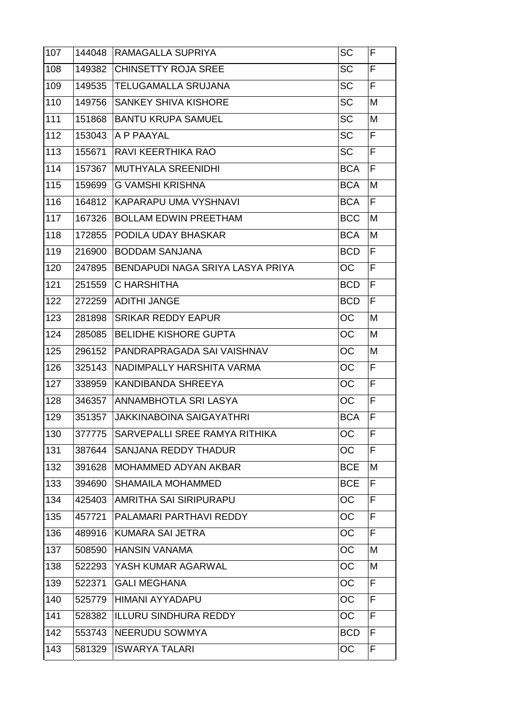| 107 | 144048 | RAMAGALLA SUPRIYA                    | SC         | F  |
|-----|--------|--------------------------------------|------------|----|
| 108 | 149382 | <b>CHINSETTY ROJA SREE</b>           | <b>SC</b>  | ΙF |
| 109 | 149535 | <b>TELUGAMALLA SRUJANA</b>           | <b>SC</b>  | F  |
| 110 | 149756 | <b>SANKEY SHIVA KISHORE</b>          | <b>SC</b>  | M  |
| 111 | 151868 | <b>BANTU KRUPA SAMUEL</b>            | <b>SC</b>  | M  |
| 112 | 153043 | A P PAAYAL                           | <b>SC</b>  | F  |
| 113 | 155671 | RAVI KEERTHIKA RAO                   | <b>SC</b>  | F  |
| 114 | 157367 | <b>MUTHYALA SREENIDHI</b>            | <b>BCA</b> | F  |
| 115 | 159699 | <b>G VAMSHI KRISHNA</b>              | <b>BCA</b> | M  |
| 116 | 164812 | <b>KAPARAPU UMA VYSHNAVI</b>         | <b>BCA</b> | F  |
| 117 | 167326 | <b>BOLLAM EDWIN PREETHAM</b>         | <b>BCC</b> | M  |
| 118 | 172855 | PODILA UDAY BHASKAR                  | <b>BCA</b> | M  |
| 119 | 216900 | <b>BODDAM SANJANA</b>                | <b>BCD</b> | F  |
| 120 | 247895 | BENDAPUDI NAGA SRIYA LASYA PRIYA     | OС         | F  |
| 121 | 251559 | C HARSHITHA                          | <b>BCD</b> | F  |
| 122 | 272259 | <b>ADITHI JANGE</b>                  | <b>BCD</b> | F  |
| 123 | 281898 | <b>SRIKAR REDDY EAPUR</b>            | OC         | M  |
| 124 | 285085 | <b>BELIDHE KISHORE GUPTA</b>         | OС         | M  |
| 125 | 296152 | PANDRAPRAGADA SAI VAISHNAV           | OC         | M  |
| 126 | 325143 | NADIMPALLY HARSHITA VARMA            | OC         | F  |
| 127 | 338959 | KANDIBANDA SHREEYA                   | <b>OC</b>  | F  |
| 128 | 346357 | <b>ANNAMBHOTLA SRI LASYA</b>         | OС         | F  |
| 129 | 351357 | <b>JAKKINABOINA SAIGAYATHRI</b>      | <b>BCA</b> | F  |
| 130 | 377775 | <b>SARVEPALLI SREE RAMYA RITHIKA</b> | <b>OC</b>  | F  |
| 131 | 387644 | SANJANA REDDY THADUR                 | OC         | F  |
| 132 | 391628 | MOHAMMED ADYAN AKBAR                 | <b>BCE</b> | M  |
| 133 | 394690 | <b>SHAMAILA MOHAMMED</b>             | <b>BCE</b> | F  |
| 134 | 425403 | <b>AMRITHA SAI SIRIPURAPU</b>        | ОC         | F  |
| 135 | 457721 | PALAMARI PARTHAVI REDDY              | <b>OC</b>  | F  |
| 136 | 489916 | <b>KUMARA SAI JETRA</b>              | OС         | F  |
| 137 | 508590 | <b>HANSIN VANAMA</b>                 | OC         | M  |
| 138 | 522293 | YASH KUMAR AGARWAL                   | ОC         | M  |
| 139 | 522371 | <b>GALI MEGHANA</b>                  | OС         | F  |
| 140 | 525779 | <b>HIMANI AYYADAPU</b>               | OC         | F  |
| 141 | 528382 | <b>ILLURU SINDHURA REDDY</b>         | OС         | F  |
| 142 | 553743 | <b>NEERUDU SOWMYA</b>                | <b>BCD</b> | F  |
| 143 | 581329 | <b>IISWARYA TALARI</b>               | OC.        | F  |